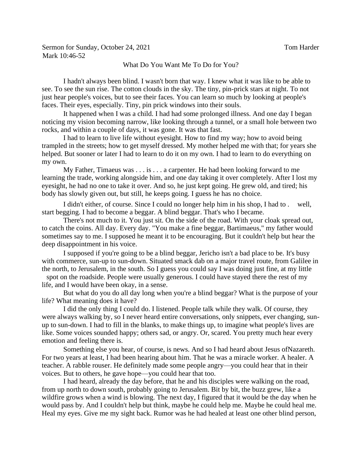Sermon for Sunday, October 24, 2021 Tom Harder Mark 10:46-52

## What Do You Want Me To Do for You?

I hadn't always been blind. I wasn't born that way. I knew what it was like to be able to see. To see the sun rise. The cotton clouds in the sky. The tiny, pin-prick stars at night. To not just hear people's voices, but to see their faces. You can learn so much by looking at people's faces. Their eyes, especially. Tiny, pin prick windows into their souls.

It happened when I was a child. I had had some prolonged illness. And one day I began noticing my vision becoming narrow, like looking through a tunnel, or a small hole between two rocks, and within a couple of days, it was gone. It was that fast.

I had to learn to live life without eyesight. How to find my way; how to avoid being trampled in the streets; how to get myself dressed. My mother helped me with that; for years she helped. But sooner or later I had to learn to do it on my own. I had to learn to do everything on my own.

My Father, Timaeus was  $\dots$  is  $\dots$  a carpenter. He had been looking forward to me learning the trade, working alongside him, and one day taking it over completely. After I lost my eyesight, he had no one to take it over. And so, he just kept going. He grew old, and tired; his body has slowly given out, but still, he keeps going. I guess he has no choice.

I didn't either, of course. Since I could no longer help him in his shop, I had to . well, start begging. I had to become a beggar. A blind beggar. That's who I became.

There's not much to it. You just sit. On the side of the road. With your cloak spread out, to catch the coins. All day. Every day. "You make a fine beggar, Bartimaeus," my father would sometimes say to me. I supposed he meant it to be encouraging. But it couldn't help but hear the deep disappointment in his voice.

I supposed if you're going to be a blind beggar, Jericho isn't a bad place to be. It's busy with commerce, sun-up to sun-down. Situated smack dab on a major travel route, from Galilee in the north, to Jerusalem, in the south. So I guess you could say I was doing just fine, at my little spot on the roadside. People were usually generous. I could have stayed there the rest of my life, and I would have been okay, in a sense.

But what do you do all day long when you're a blind beggar? What is the purpose of your life? What meaning does it have?

I did the only thing I could do. I listened. People talk while they walk. Of course, they were always walking by, so I never heard entire conversations, only snippets, ever changing, sunup to sun-down. I had to fill in the blanks, to make things up, to imagine what people's lives are like. Some voices sounded happy; others sad, or angry. Or, scared. You pretty much hear every emotion and feeling there is.

Something else you hear, of course, is news. And so I had heard about Jesus ofNazareth. For two years at least, I had been hearing about him. That he was a miracle worker. A healer. A teacher. A rabble rouser. He definitely made some people angry—you could hear that in their voices. But to others, he gave hope—you could hear that too.

I had heard, already the day before, that he and his disciples were walking on the road, from up north to down south, probably going to Jerusalem. Bit by bit, the buzz grew, like a wildfire grows when a wind is blowing. The next day, I figured that it would be the day when he would pass by. And I couldn't help but think, maybe he could help me. Maybe he could heal me. Heal my eyes. Give me my sight back. Rumor was he had healed at least one other blind person,